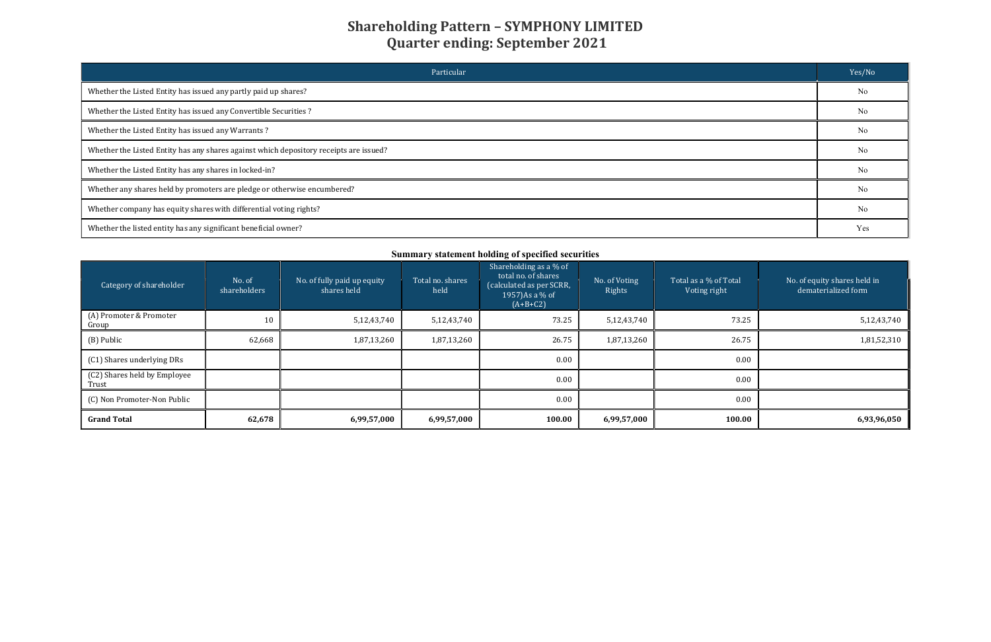| Particular                                                                             | Yes/No         |
|----------------------------------------------------------------------------------------|----------------|
| Whether the Listed Entity has issued any partly paid up shares?                        | N <sub>o</sub> |
| Whether the Listed Entity has issued any Convertible Securities?                       | No             |
| Whether the Listed Entity has issued any Warrants?                                     | No             |
| Whether the Listed Entity has any shares against which depository receipts are issued? | No             |
| Whether the Listed Entity has any shares in locked-in?                                 | No             |
| Whether any shares held by promoters are pledge or otherwise encumbered?               | N <sub>o</sub> |
| Whether company has equity shares with differential voting rights?                     | No             |
| Whether the listed entity has any significant beneficial owner?                        | Yes            |

| Summary statement holding of specified securities |                        |                                            |                          |                                                                                                            |                                                                  |        |                                                     |  |  |  |
|---------------------------------------------------|------------------------|--------------------------------------------|--------------------------|------------------------------------------------------------------------------------------------------------|------------------------------------------------------------------|--------|-----------------------------------------------------|--|--|--|
| Category of shareholder                           | No. of<br>shareholders | No. of fully paid up equity<br>shares held | Total no. shares<br>held | Shareholding as a % of<br>total no. of shares<br>(calculated as per SCRR,<br>1957) As a % of<br>$(A+B+C2)$ | No. of Voting<br>Total as a % of Total<br>Rights<br>Voting right |        | No. of equity shares held in<br>dematerialized form |  |  |  |
| (A) Promoter & Promoter<br>Group                  | 10                     | 5,12,43,740                                | 5,12,43,740              | 73.25                                                                                                      | 5,12,43,740                                                      | 73.25  | 5,12,43,740                                         |  |  |  |
| (B) Public                                        | 62,668                 | 1,87,13,260                                | 1,87,13,260              | 26.75                                                                                                      | 1,87,13,260                                                      | 26.75  | 1,81,52,310                                         |  |  |  |
| (C1) Shares underlying DRs                        |                        |                                            |                          | 0.00                                                                                                       |                                                                  | 0.00   |                                                     |  |  |  |
| (C2) Shares held by Employee<br>Trust             |                        |                                            |                          | 0.00                                                                                                       |                                                                  | 0.00   |                                                     |  |  |  |
| (C) Non Promoter-Non Public                       |                        |                                            |                          | 0.00                                                                                                       |                                                                  | 0.00   |                                                     |  |  |  |
| <b>Grand Total</b>                                | 62,678                 | 6,99,57,000                                | 6,99,57,000              | 100.00                                                                                                     | 6,99,57,000                                                      | 100.00 | 6,93,96,050                                         |  |  |  |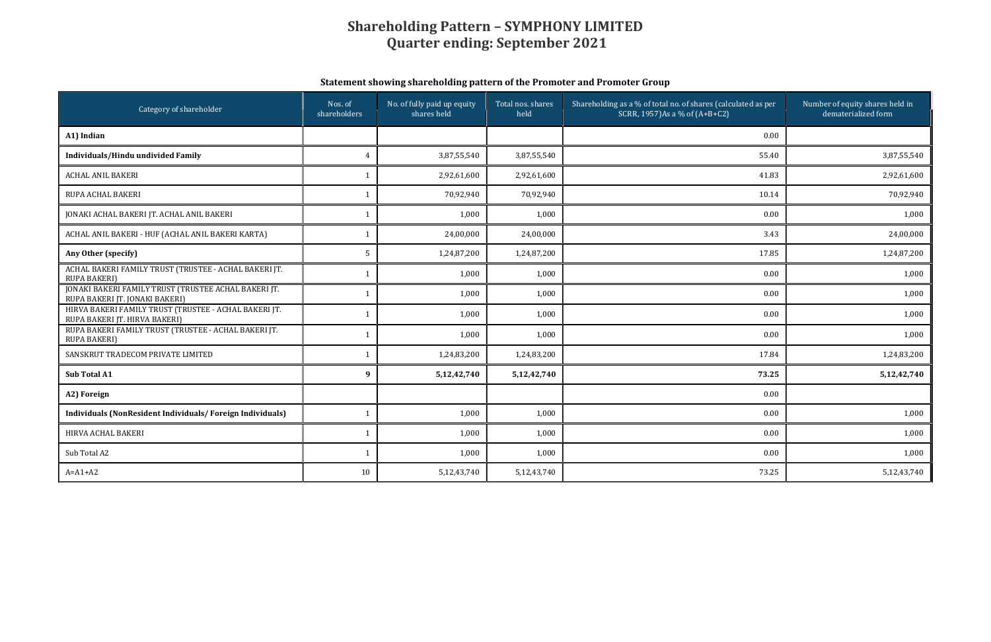### Statement showing shareholding pattern of the Promoter and Promoter Group

| Category of shareholder                                                                | Nos. of<br>shareholders | No. of fully paid up equity<br>shares held | Total nos. shares<br>held | Shareholding as a % of total no. of shares (calculated as per<br>SCRR, 1957)As a % of (A+B+C2) | Number of equity shares held in<br>dematerialized form |
|----------------------------------------------------------------------------------------|-------------------------|--------------------------------------------|---------------------------|------------------------------------------------------------------------------------------------|--------------------------------------------------------|
| A1) Indian                                                                             |                         |                                            |                           | 0.00                                                                                           |                                                        |
| Individuals/Hindu undivided Family                                                     | $\overline{4}$          | 3,87,55,540                                | 3,87,55,540               | 55.40                                                                                          | 3,87,55,540                                            |
| <b>ACHAL ANIL BAKERI</b>                                                               | $\mathbf{1}$            | 2,92,61,600                                | 2,92,61,600               | 41.83                                                                                          | 2,92,61,600                                            |
| RUPA ACHAL BAKERI                                                                      | $\mathbf{1}$            | 70,92,940                                  | 70,92,940                 | 10.14                                                                                          | 70,92,940                                              |
| JONAKI ACHAL BAKERI JT. ACHAL ANIL BAKERI                                              | $\mathbf{1}$            | 1,000                                      | 1,000                     | 0.00                                                                                           | 1,000                                                  |
| ACHAL ANIL BAKERI - HUF (ACHAL ANIL BAKERI KARTA)                                      | 1                       | 24,00,000                                  | 24,00,000                 | 3.43                                                                                           | 24,00,000                                              |
| Any Other (specify)                                                                    | 5                       | 1,24,87,200                                | 1,24,87,200               | 17.85                                                                                          | 1,24,87,200                                            |
| ACHAL BAKERI FAMILY TRUST (TRUSTEE - ACHAL BAKERI JT.<br><b>RUPA BAKERI)</b>           | $\mathbf 1$             | 1,000                                      | 1,000                     | 0.00                                                                                           | 1,000                                                  |
| JONAKI BAKERI FAMILY TRUST (TRUSTEE ACHAL BAKERI JT.<br>RUPA BAKERI JT. JONAKI BAKERI) | $\mathbf{1}$            | 1,000                                      | 1,000                     | 0.00                                                                                           | 1,000                                                  |
| HIRVA BAKERI FAMILY TRUST (TRUSTEE - ACHAL BAKERI JT.<br>RUPA BAKERI JT. HIRVA BAKERI) | $\mathbf{1}$            | 1,000                                      | 1,000                     | 0.00                                                                                           | 1,000                                                  |
| RUPA BAKERI FAMILY TRUST (TRUSTEE - ACHAL BAKERI JT.<br><b>RUPA BAKERI)</b>            | $\mathbf 1$             | 1,000                                      | 1,000                     | 0.00                                                                                           | 1,000                                                  |
| SANSKRUT TRADECOM PRIVATE LIMITED                                                      | $\mathbf 1$             | 1,24,83,200                                | 1,24,83,200               | 17.84                                                                                          | 1,24,83,200                                            |
| Sub Total A1                                                                           | $\boldsymbol{9}$        | 5,12,42,740                                | 5,12,42,740               | 73.25                                                                                          | 5, 12, 42, 740                                         |
| A2) Foreign                                                                            |                         |                                            |                           | 0.00                                                                                           |                                                        |
| Individuals (NonResident Individuals/Foreign Individuals)                              | $\mathbf{1}$            | 1,000                                      | 1,000                     | 0.00                                                                                           | 1,000                                                  |
| HIRVA ACHAL BAKERI                                                                     | 1                       | 1,000                                      | 1,000                     | 0.00                                                                                           | 1,000                                                  |
| Sub Total A2                                                                           | $\mathbf{1}$            | 1,000                                      | 1,000                     | 0.00                                                                                           | 1,000                                                  |
| $A=A1+A2$                                                                              | 10                      | 5,12,43,740                                | 5,12,43,740               | 73.25                                                                                          | 5,12,43,740                                            |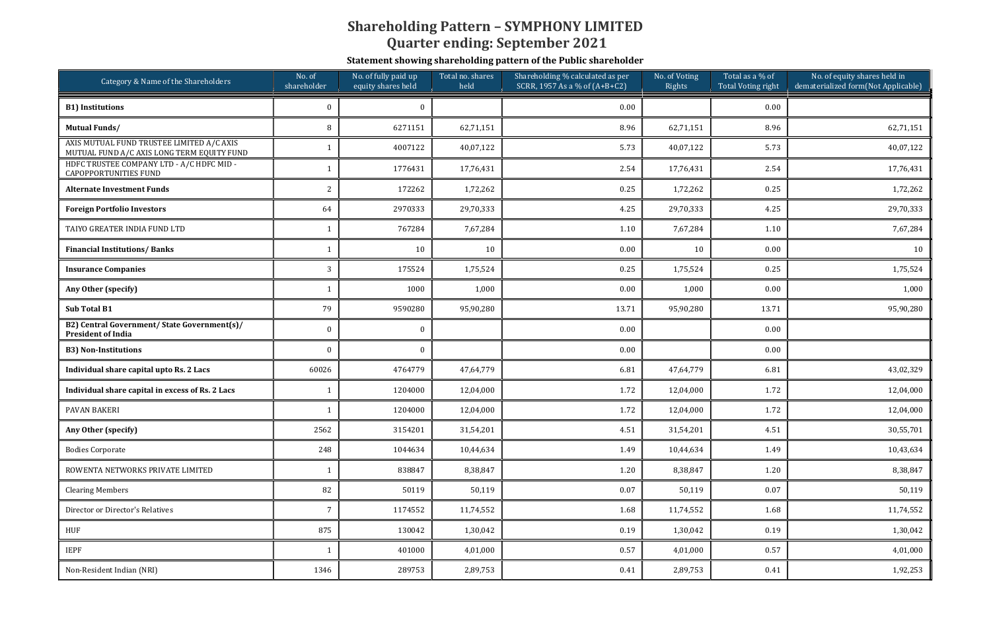Statement showing shareholding pattern of the Public shareholder

| Category & Name of the Shareholders                                                     | No. of fully paid up<br>No. of<br>shareholder<br>equity shares held |          | Total no. shares<br>held | Shareholding % calculated as per<br>SCRR, 1957 As a % of (A+B+C2) | No. of Voting<br>Rights | Total as a % of<br>Total Voting right | No. of equity shares held in<br>dematerialized form(Not Applicable) |
|-----------------------------------------------------------------------------------------|---------------------------------------------------------------------|----------|--------------------------|-------------------------------------------------------------------|-------------------------|---------------------------------------|---------------------------------------------------------------------|
| <b>B1)</b> Institutions                                                                 | $\Omega$                                                            | $\Omega$ |                          | 0.00                                                              |                         | 0.00                                  |                                                                     |
| <b>Mutual Funds/</b>                                                                    | 8                                                                   | 6271151  | 62,71,151                | 8.96                                                              | 62,71,151               | 8.96                                  | 62,71,151                                                           |
| AXIS MUTUAL FUND TRUSTEE LIMITED A/C AXIS<br>MUTUAL FUND A/C AXIS LONG TERM EQUITY FUND |                                                                     | 4007122  | 40,07,122                | 5.73                                                              | 40,07,122               | 5.73                                  | 40,07,122                                                           |
| HDFC TRUSTEE COMPANY LTD - A/C HDFC MID -<br><b>CAPOPPORTUNITIES FUND</b>               |                                                                     | 1776431  | 17,76,431                | 2.54                                                              | 17,76,431               | 2.54                                  | 17,76,431                                                           |
| <b>Alternate Investment Funds</b>                                                       | 2                                                                   | 172262   | 1,72,262                 | 0.25                                                              | 1,72,262                | 0.25                                  | 1,72,262                                                            |
| <b>Foreign Portfolio Investors</b>                                                      | 64                                                                  | 2970333  | 29,70,333                | 4.25                                                              | 29,70,333               | 4.25                                  | 29,70,333                                                           |
| TAIYO GREATER INDIA FUND LTD                                                            |                                                                     | 767284   | 7,67,284                 | 1.10                                                              | 7,67,284                | 1.10                                  | 7,67,284                                                            |
| <b>Financial Institutions/Banks</b>                                                     |                                                                     | 10       | 10                       | 0.00                                                              | 10                      | 0.00                                  | 10                                                                  |
| <b>Insurance Companies</b>                                                              | 3                                                                   | 175524   | 1,75,524                 | 0.25                                                              | 1,75,524                | 0.25                                  | 1,75,524                                                            |
| Any Other (specify)                                                                     |                                                                     | 1000     | 1,000                    | 0.00                                                              | 1,000                   | 0.00                                  | 1,000                                                               |
| Sub Total B1                                                                            | 79                                                                  | 9590280  | 95,90,280                | 13.71                                                             | 95,90,280               | 13.71                                 | 95,90,280                                                           |
| B2) Central Government/ State Government(s)/<br><b>President of India</b>               | $\mathbf{0}$                                                        | $\bf{0}$ |                          | 0.00                                                              |                         | 0.00                                  |                                                                     |
| <b>B3) Non-Institutions</b>                                                             | $\theta$                                                            | $\Omega$ |                          | 0.00                                                              |                         | 0.00                                  |                                                                     |
| Individual share capital upto Rs. 2 Lacs                                                | 60026                                                               | 4764779  | 47,64,779                | 6.81                                                              | 47,64,779               | 6.81                                  | 43,02,329                                                           |
| Individual share capital in excess of Rs. 2 Lacs                                        |                                                                     | 1204000  | 12,04,000                | 1.72                                                              | 12,04,000               | 1.72                                  | 12,04,000                                                           |
| <b>PAVAN BAKERI</b>                                                                     | $\mathbf{1}$                                                        | 1204000  | 12,04,000                | 1.72                                                              | 12,04,000               | 1.72                                  | 12,04,000                                                           |
| Any Other (specify)                                                                     | 2562                                                                | 3154201  | 31,54,201                | 4.51                                                              | 31,54,201               | 4.51                                  | 30,55,701                                                           |
| <b>Bodies Corporate</b>                                                                 | 248                                                                 | 1044634  | 10,44,634                | 1.49                                                              | 10,44,634               | 1.49                                  | 10,43,634                                                           |
| ROWENTA NETWORKS PRIVATE LIMITED                                                        | 1                                                                   | 838847   | 8,38,847                 | 1.20                                                              | 8,38,847                | 1.20                                  | 8,38,847                                                            |
| <b>Clearing Members</b>                                                                 | 82                                                                  | 50119    | 50,119                   | 0.07                                                              | 50,119                  | 0.07                                  | 50,119                                                              |
| Director or Director's Relatives                                                        | 7                                                                   | 1174552  | 11,74,552                | 1.68                                                              | 11,74,552               | 1.68                                  | 11,74,552                                                           |
| HUF                                                                                     | 875                                                                 | 130042   | 1,30,042                 | 0.19                                                              | 1,30,042                | 0.19                                  | 1,30,042                                                            |
| <b>IEPF</b>                                                                             | 1                                                                   | 401000   | 4,01,000                 | 0.57                                                              | 4,01,000                | 0.57                                  | 4,01,000                                                            |
| Non-Resident Indian (NRI)                                                               | 1346                                                                | 289753   | 2,89,753                 | 0.41                                                              | 2,89,753                | 0.41                                  | 1,92,253                                                            |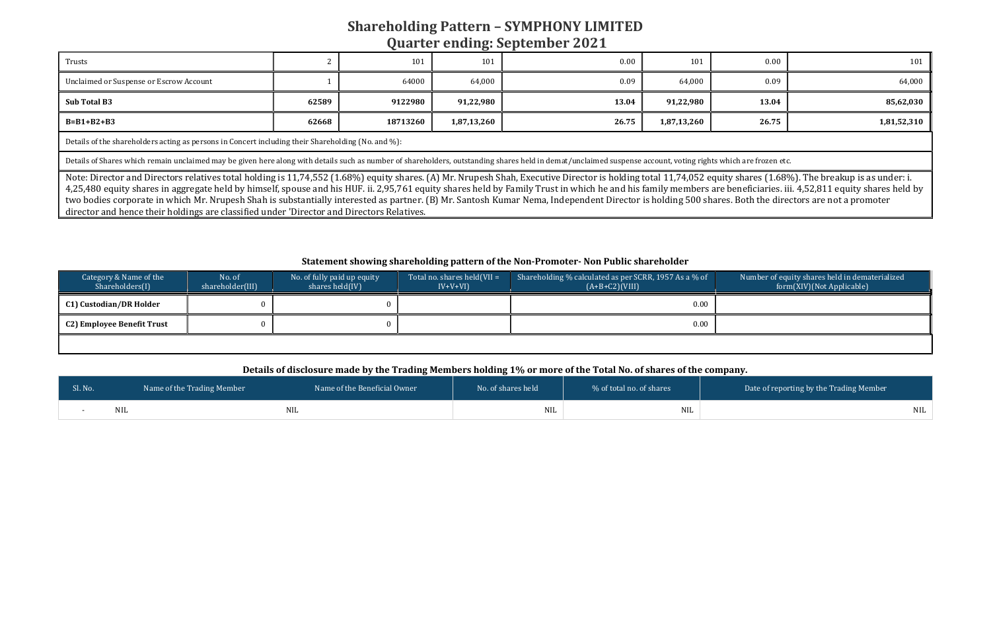| Trusts                                  |       | 101      | $\sim$<br>101 | 0.00  | 101         | 0.00  | 101         |
|-----------------------------------------|-------|----------|---------------|-------|-------------|-------|-------------|
| Unclaimed or Suspense or Escrow Account |       | 64000    | 64,000        | 0.09  | 64,000      | 0.09  | 64,000      |
| Sub Total B3                            | 62589 | 9122980  | 91,22,980     | 13.04 | 91,22,980   | 13.04 | 85,62,030   |
| $B=B1+B2+B3$                            | 62668 | 18713260 | 1,87,13,260   | 26.75 | 1,87,13,260 | 26.75 | 1,81,52,310 |
|                                         |       |          |               |       |             |       |             |

Details of the shareholders acting as persons in Concert including their Shareholding (No. and %):

Details of Shares which remain unclaimed may be given here along with details such as number of shareholders, outstanding shares held in demat/unclaimed suspense account, voting rights which are frozen etc.

Note: Director and Directors relatives total holding is 11,74,552 (1.68%) equity shares. (A) Mr. Nrupesh Shah, Executive Director is holding total 11,74,052 equity shares (1.68%). The breakup is as under: i. 4,25,480 equity shares in aggregate held by himself, spouse and his HUF. ii. 2,95,761 equity shares held by Family Trust in which he and his family members are beneficiaries. iii. 4,52,811 equity shares held by two bodies corporate in which Mr. Nrupesh Shah is substantially interested as partner. (B) Mr. Santosh Kumar Nema, Independent Director is holding 500 shares. Both the directors are not a promoter director and hence their holdings are classified under 'Director and Directors Relatives.

#### Statement showing shareholding pattern of the Non-Promoter- Non Public shareholder

| Category & Name of the<br>No. of<br>Shareholders(I)<br>shareholder(III) |  | No. of fully paid up equity<br>shares held $(IV)$ | Total no. shares held $(VII = V)$<br>$IV+V+VI$ | Shareholding % calculated as per SCRR, 1957 As a % of<br>$(A+B+C2)(VIII)$ |  |
|-------------------------------------------------------------------------|--|---------------------------------------------------|------------------------------------------------|---------------------------------------------------------------------------|--|
| C1) Custodian/DR Holder                                                 |  |                                                   |                                                | 0.00                                                                      |  |
| C2) Employee Benefit Trust                                              |  |                                                   |                                                | 0.00                                                                      |  |
|                                                                         |  |                                                   |                                                |                                                                           |  |

# Number of equity shares held in dematerialized form(XIV)(Not Applicable)

#### Details of disclosure made by the Trading Members holding 1% or more of the Total No. of shares of the company.

| Sl. No. | Name of the Trading Member | Name of the Beneficial Owner | No. of shares held | % of total no. of shares | Date of reporting by the Trading Member |
|---------|----------------------------|------------------------------|--------------------|--------------------------|-----------------------------------------|
|         |                            | NIL                          | NIL                | <b>NIL</b>               | <b>NIL</b>                              |